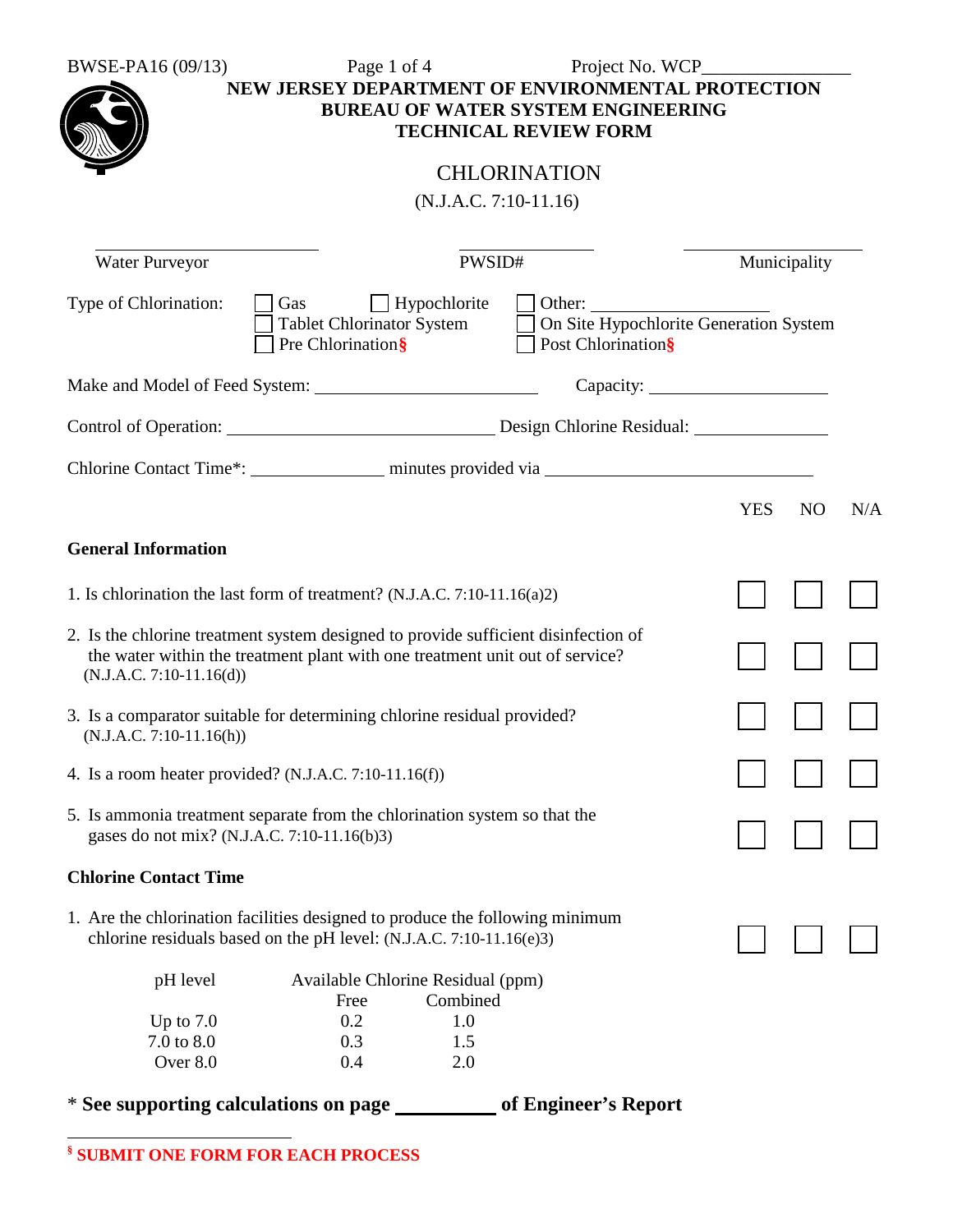| BWSE-PA16 (09/13)                                                                                                        | Page 1 of 4                                                                  |                         | Project No. WCP                           |              |                       |
|--------------------------------------------------------------------------------------------------------------------------|------------------------------------------------------------------------------|-------------------------|-------------------------------------------|--------------|-----------------------|
|                                                                                                                          | NEW JERSEY DEPARTMENT OF ENVIRONMENTAL PROTECTION                            |                         |                                           |              |                       |
|                                                                                                                          |                                                                              |                         | <b>BUREAU OF WATER SYSTEM ENGINEERING</b> |              |                       |
|                                                                                                                          |                                                                              |                         | <b>TECHNICAL REVIEW FORM</b>              |              |                       |
|                                                                                                                          |                                                                              |                         | <b>CHLORINATION</b>                       |              |                       |
|                                                                                                                          |                                                                              |                         |                                           |              |                       |
|                                                                                                                          |                                                                              | $(N.J.A.C. 7:10-11.16)$ |                                           |              |                       |
| Water Purveyor                                                                                                           |                                                                              | PWSID#                  |                                           | Municipality |                       |
| Type of Chlorination:                                                                                                    | Gas                                                                          | $\Box$ Hypochlorite     |                                           |              |                       |
|                                                                                                                          | <b>Tablet Chlorinator System</b>                                             |                         | On Site Hypochlorite Generation System    |              |                       |
|                                                                                                                          | Pre Chlorination§                                                            |                         | Post Chlorination§                        |              |                       |
|                                                                                                                          |                                                                              |                         |                                           |              |                       |
|                                                                                                                          |                                                                              |                         |                                           |              |                       |
|                                                                                                                          |                                                                              |                         |                                           |              |                       |
|                                                                                                                          |                                                                              |                         |                                           |              |                       |
|                                                                                                                          |                                                                              |                         |                                           | <b>YES</b>   | N <sub>O</sub><br>N/A |
| <b>General Information</b>                                                                                               |                                                                              |                         |                                           |              |                       |
| 1. Is chlorination the last form of treatment? (N.J.A.C. 7:10-11.16(a)2)                                                 |                                                                              |                         |                                           |              |                       |
| 2. Is the chlorine treatment system designed to provide sufficient disinfection of                                       |                                                                              |                         |                                           |              |                       |
|                                                                                                                          | the water within the treatment plant with one treatment unit out of service? |                         |                                           |              |                       |
| $(N.J.A.C. 7:10-11.16(d))$                                                                                               |                                                                              |                         |                                           |              |                       |
| 3. Is a comparator suitable for determining chlorine residual provided?                                                  |                                                                              |                         |                                           |              |                       |
| $(N.J.A.C. 7:10-11.16(h))$                                                                                               |                                                                              |                         |                                           |              |                       |
| 4. Is a room heater provided? (N.J.A.C. 7:10-11.16(f))                                                                   |                                                                              |                         |                                           |              |                       |
|                                                                                                                          |                                                                              |                         |                                           |              |                       |
| 5. Is ammonia treatment separate from the chlorination system so that the<br>gases do not mix? (N.J.A.C. 7:10-11.16(b)3) |                                                                              |                         |                                           |              |                       |
|                                                                                                                          |                                                                              |                         |                                           |              |                       |
| <b>Chlorine Contact Time</b>                                                                                             |                                                                              |                         |                                           |              |                       |
| 1. Are the chlorination facilities designed to produce the following minimum                                             |                                                                              |                         |                                           |              |                       |
|                                                                                                                          | chlorine residuals based on the pH level: (N.J.A.C. 7:10-11.16(e)3)          |                         |                                           |              |                       |
|                                                                                                                          |                                                                              |                         |                                           |              |                       |
| pH level                                                                                                                 | Available Chlorine Residual (ppm)<br>Free                                    | Combined                |                                           |              |                       |
| Up to $7.0$                                                                                                              | 0.2                                                                          | 1.0                     |                                           |              |                       |
| 7.0 to 8.0                                                                                                               | 0.3                                                                          | 1.5                     |                                           |              |                       |
| Over 8.0                                                                                                                 | 0.4                                                                          | 2.0                     |                                           |              |                       |

\* **See supporting calculations on page of Engineer's Report**

**§ SUBMIT ONE FORM FOR EACH PROCESS**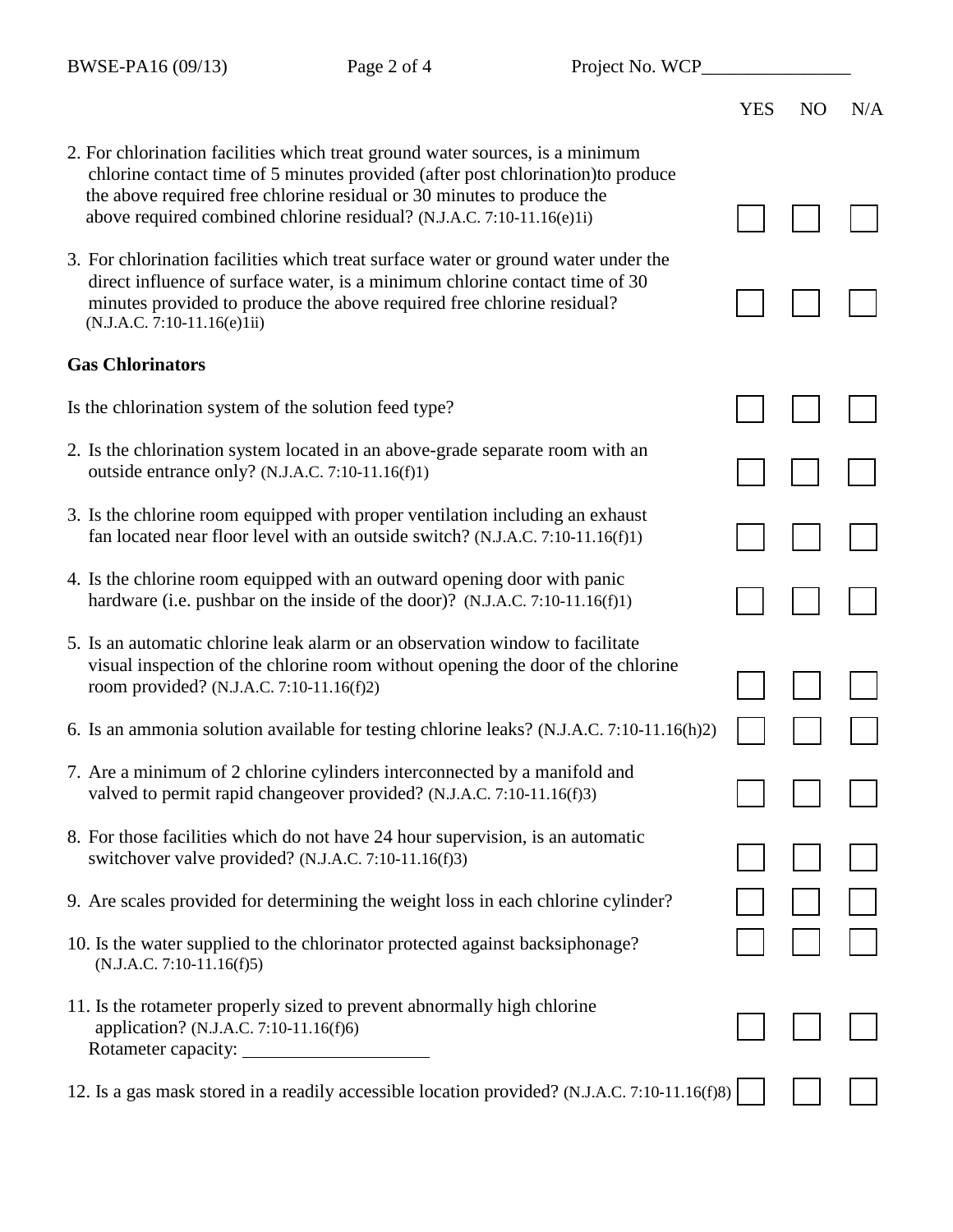chlorine contact time of 5 minutes provided (after post chlorination)to produce

- YES NO N/A
- 
- 

 above required combined chlorine residual? (N.J.A.C. 7:10-11.16(e)1i) 3. For chlorination facilities which treat surface water or ground water under the direct influence of surface water, is a minimum chlorine contact time of 30 minutes provided to produce the above required free chlorine residual?

2. For chlorination facilities which treat ground water sources, is a minimum

the above required free chlorine residual or 30 minutes to produce the

## (N.J.A.C. 7:10-11.16(e)1ii)

## **Gas Chlorinators**

Is the chlorination system of the solution feed type?

- 2. Is the chlorination system located in an above-grade separate room with an outside entrance only? (N.J.A.C. 7:10-11.16(f)1)
- 3. Is the chlorine room equipped with proper ventilation including an exhaust fan located near floor level with an outside switch? (N.J.A.C. 7:10-11.16(f)1)
- 4. Is the chlorine room equipped with an outward opening door with panic hardware (i.e. pushbar on the inside of the door)? (N.J.A.C. 7:10-11.16(f)1)
- 5. Is an automatic chlorine leak alarm or an observation window to facilitate visual inspection of the chlorine room without opening the door of the chlorine room provided? (N.J.A.C. 7:10-11.16(f)2)
- 6. Is an ammonia solution available for testing chlorine leaks? (N.J.A.C. 7:10-11.16(h)2)
- 7. Are a minimum of 2 chlorine cylinders interconnected by a manifold and valved to permit rapid changeover provided? (N.J.A.C. 7:10-11.16(f)3)
- 8. For those facilities which do not have 24 hour supervision, is an automatic switchover valve provided? (N.J.A.C. 7:10-11.16(f)3)
- 9. Are scales provided for determining the weight loss in each chlorine cylinder?
- 10. Is the water supplied to the chlorinator protected against backsiphonage? (N.J.A.C. 7:10-11.16(f)5)
- 11. Is the rotameter properly sized to prevent abnormally high chlorine application? (N.J.A.C. 7:10-11.16(f)6) Rotameter capacity:

12. Is a gas mask stored in a readily accessible location provided? (N.J.A.C. 7:10-11.16(f)8)

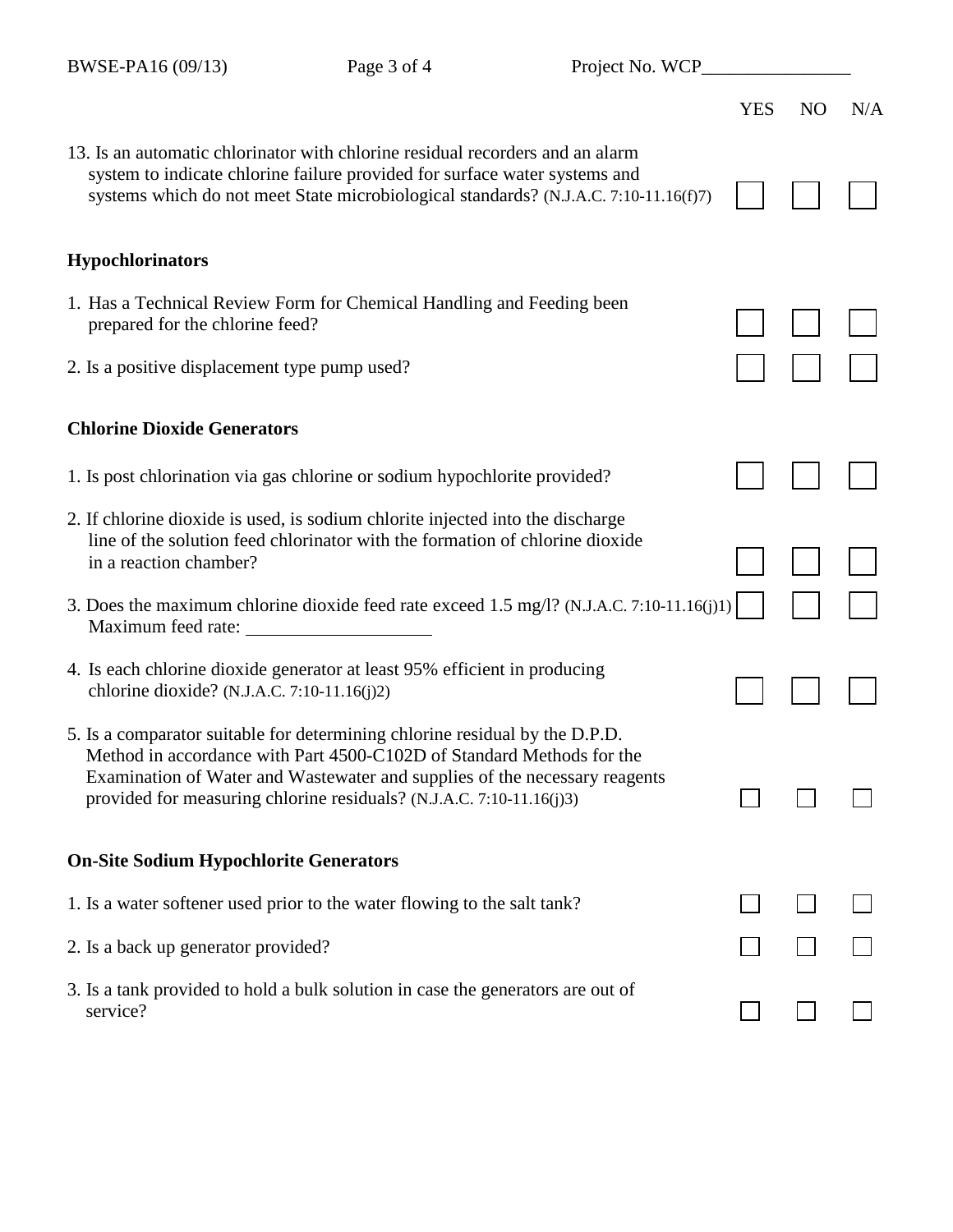| Project No. WCP___ |            |  |
|--------------------|------------|--|
|                    | YES NO N/A |  |

| 13. Is an automatic chlorinator with chlorine residual recorders and an alarm<br>system to indicate chlorine failure provided for surface water systems and<br>systems which do not meet State microbiological standards? (N.J.A.C. 7:10-11.16(f)7)                                                        |  |  |
|------------------------------------------------------------------------------------------------------------------------------------------------------------------------------------------------------------------------------------------------------------------------------------------------------------|--|--|
| <b>Hypochlorinators</b>                                                                                                                                                                                                                                                                                    |  |  |
| 1. Has a Technical Review Form for Chemical Handling and Feeding been<br>prepared for the chlorine feed?                                                                                                                                                                                                   |  |  |
| 2. Is a positive displacement type pump used?                                                                                                                                                                                                                                                              |  |  |
| <b>Chlorine Dioxide Generators</b>                                                                                                                                                                                                                                                                         |  |  |
| 1. Is post chlorination via gas chlorine or sodium hypochlorite provided?                                                                                                                                                                                                                                  |  |  |
| 2. If chlorine dioxide is used, is sodium chlorite injected into the discharge<br>line of the solution feed chlorinator with the formation of chlorine dioxide<br>in a reaction chamber?                                                                                                                   |  |  |
| 3. Does the maximum chlorine dioxide feed rate exceed 1.5 mg/l? (N.J.A.C. 7:10-11.16(j)1)<br>Maximum feed rate:                                                                                                                                                                                            |  |  |
| 4. Is each chlorine dioxide generator at least 95% efficient in producing<br>chlorine dioxide? (N.J.A.C. 7:10-11.16(j)2)                                                                                                                                                                                   |  |  |
| 5. Is a comparator suitable for determining chlorine residual by the D.P.D.<br>Method in accordance with Part 4500-C102D of Standard Methods for the<br>Examination of Water and Wastewater and supplies of the necessary reagents<br>provided for measuring chlorine residuals? (N.J.A.C. 7:10-11.16(j)3) |  |  |
| <b>On-Site Sodium Hypochlorite Generators</b>                                                                                                                                                                                                                                                              |  |  |
| 1. Is a water softener used prior to the water flowing to the salt tank?                                                                                                                                                                                                                                   |  |  |
| 2. Is a back up generator provided?                                                                                                                                                                                                                                                                        |  |  |
| 3. Is a tank provided to hold a bulk solution in case the generators are out of<br>service?                                                                                                                                                                                                                |  |  |